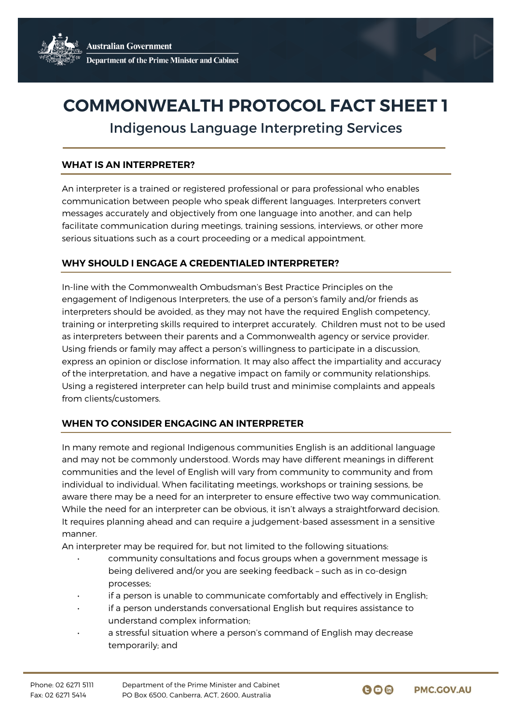# **COMMONWEALTH PROTOCOL FACT SHEET 1**

Indigenous Language Interpreting Services

### **WHAT IS AN INTERPRETER?**

An interpreter is a trained or registered professional or para professional who enables communication between people who speak different languages. Interpreters convert messages accurately and objectively from one language into another, and can help facilitate communication during meetings, training sessions, interviews, or other more serious situations such as a court proceeding or a medical appointment.

### **WHY SHOULD I ENGAGE A CREDENTIALED INTERPRETER?**

In-line with the Commonwealth Ombudsman's Best Practice Principles on the engagement of Indigenous Interpreters, the use of a person's family and/or friends as interpreters should be avoided, as they may not have the required English competency, training or interpreting skills required to interpret accurately. Children must not to be used as interpreters between their parents and a Commonwealth agency or service provider. Using friends or family may affect a person's willingness to participate in a discussion, express an opinion or disclose information. It may also affect the impartiality and accuracy of the interpretation, and have a negative impact on family or community relationships. Using a registered interpreter can help build trust and minimise complaints and appeals from clients/customers.

## **WHEN TO CONSIDER ENGAGING AN INTERPRETER**

In many remote and regional Indigenous communities English is an additional language and may not be commonly understood. Words may have different meanings in different communities and the level of English will vary from community to community and from individual to individual. When facilitating meetings, workshops or training sessions, be aware there may be a need for an interpreter to ensure effective two way communication. While the need for an interpreter can be obvious, it isn't always a straightforward decision. It requires planning ahead and can require a judgement-based assessment in a sensitive manner.

An interpreter may be required for, but not limited to the following situations:

- community consultations and focus groups when a government message is being delivered and/or you are seeking feedback – such as in co-design processes;
- if a person is unable to communicate comfortably and effectively in English;
- if a person understands conversational English but requires assistance to understand complex information;
- a stressful situation where a person's command of English may decrease temporarily; and

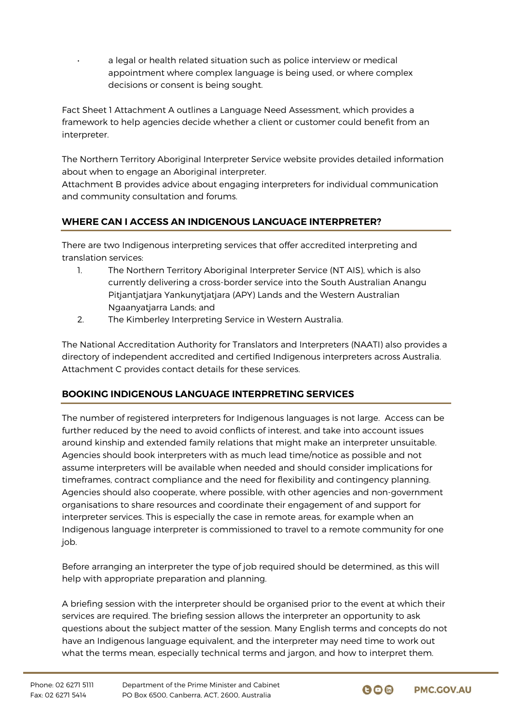a legal or health related situation such as police interview or medical appointment where complex language is being used, or where complex decisions or consent is being sought.

Fact Sheet 1 Attachment A outlines a Language Need Assessment, which provides a framework to help agencies decide whether a client or customer could benefit from an interpreter.

The Northern Territory Aboriginal Interpreter Service website provides detailed information about when to engage an Aboriginal interpreter.

Attachment B provides advice about engaging interpreters for individual communication and community consultation and forums.

# **WHERE CAN I ACCESS AN INDIGENOUS LANGUAGE INTERPRETER?**

There are two Indigenous interpreting services that offer accredited interpreting and translation services:

- 1. The Northern Territory Aboriginal Interpreter Service (NT AIS), which is also currently delivering a cross-border service into the South Australian Anangu Pitjantjatjara Yankunytjatjara (APY) Lands and the Western Australian Ngaanyatjarra Lands; and
- 2. The Kimberley Interpreting Service in Western Australia.

The National Accreditation Authority for Translators and Interpreters (NAATI) also provides a directory of independent accredited and certified Indigenous interpreters across Australia. Attachment C provides contact details for these services.

# **BOOKING INDIGENOUS LANGUAGE INTERPRETING SERVICES**

The number of registered interpreters for Indigenous languages is not large. Access can be further reduced by the need to avoid conflicts of interest, and take into account issues around kinship and extended family relations that might make an interpreter unsuitable. Agencies should book interpreters with as much lead time/notice as possible and not assume interpreters will be available when needed and should consider implications for timeframes, contract compliance and the need for flexibility and contingency planning. Agencies should also cooperate, where possible, with other agencies and non-government organisations to share resources and coordinate their engagement of and support for interpreter services. This is especially the case in remote areas, for example when an Indigenous language interpreter is commissioned to travel to a remote community for one job.

Before arranging an interpreter the type of job required should be determined, as this will help with appropriate preparation and planning.

A briefing session with the interpreter should be organised prior to the event at which their services are required. The briefing session allows the interpreter an opportunity to ask questions about the subject matter of the session. Many English terms and concepts do not have an Indigenous language equivalent, and the interpreter may need time to work out what the terms mean, especially technical terms and jargon, and how to interpret them.

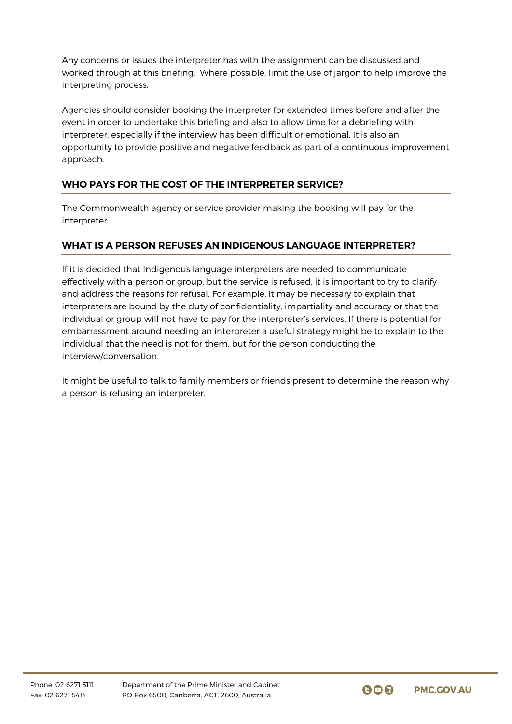Any concerns or issues the interpreter has with the assignment can be discussed and worked through at this briefing. Where possible, limit the use of jargon to help improve the interpreting process.

Agencies should consider booking the interpreter for extended times before and after the event in order to undertake this briefing and also to allow time for a debriefing with interpreter, especially if the interview has been difficult or emotional. It is also an opportunity to provide positive and negative feedback as part of a continuous improvement approach.

## **WHO PAYS FOR THE COST OF THE INTERPRETER SERVICE?**

The Commonwealth agency or service provider making the booking will pay for the interpreter.

## **WHAT IS A PERSON REFUSES AN INDIGENOUS LANGUAGE INTERPRETER?**

If it is decided that Indigenous language interpreters are needed to communicate effectively with a person or group, but the service is refused, it is important to try to clarify and address the reasons for refusal. For example, it may be necessary to explain that interpreters are bound by the duty of confidentiality, impartiality and accuracy or that the individual or group will not have to pay for the interpreter's services. If there is potential for embarrassment around needing an interpreter a useful strategy might be to explain to the individual that the need is not for them, but for the person conducting the interview/conversation.

It might be useful to talk to family members or friends present to determine the reason why a person is refusing an interpreter.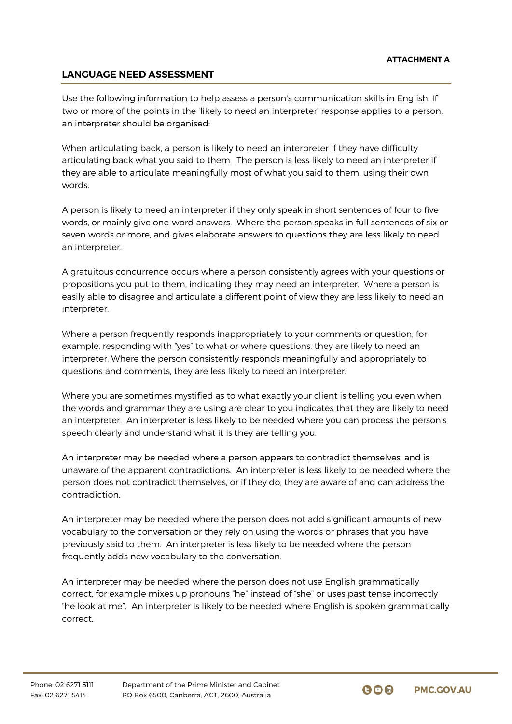## **LANGUAGE NEED ASSESSMENT**

Use the following information to help assess a person's communication skills in English. If two or more of the points in the 'likely to need an interpreter' response applies to a person, an interpreter should be organised:

When articulating back, a person is likely to need an interpreter if they have difficulty articulating back what you said to them. The person is less likely to need an interpreter if they are able to articulate meaningfully most of what you said to them, using their own words.

A person is likely to need an interpreter if they only speak in short sentences of four to five words, or mainly give one-word answers. Where the person speaks in full sentences of six or seven words or more, and gives elaborate answers to questions they are less likely to need an interpreter.

A gratuitous concurrence occurs where a person consistently agrees with your questions or propositions you put to them, indicating they may need an interpreter. Where a person is easily able to disagree and articulate a different point of view they are less likely to need an interpreter.

Where a person frequently responds inappropriately to your comments or question, for example, responding with "yes" to what or where questions, they are likely to need an interpreter. Where the person consistently responds meaningfully and appropriately to questions and comments, they are less likely to need an interpreter.

Where you are sometimes mystified as to what exactly your client is telling you even when the words and grammar they are using are clear to you indicates that they are likely to need an interpreter. An interpreter is less likely to be needed where you can process the person's speech clearly and understand what it is they are telling you.

An interpreter may be needed where a person appears to contradict themselves, and is unaware of the apparent contradictions. An interpreter is less likely to be needed where the person does not contradict themselves, or if they do, they are aware of and can address the contradiction.

An interpreter may be needed where the person does not add significant amounts of new vocabulary to the conversation or they rely on using the words or phrases that you have previously said to them. An interpreter is less likely to be needed where the person frequently adds new vocabulary to the conversation.

An interpreter may be needed where the person does not use English grammatically correct, for example mixes up pronouns "he" instead of "she" or uses past tense incorrectly "he look at me". An interpreter is likely to be needed where English is spoken grammatically correct.

 $\mathbf{\Theta} \mathbf{\Theta}$  in **PMC.GOV.AU**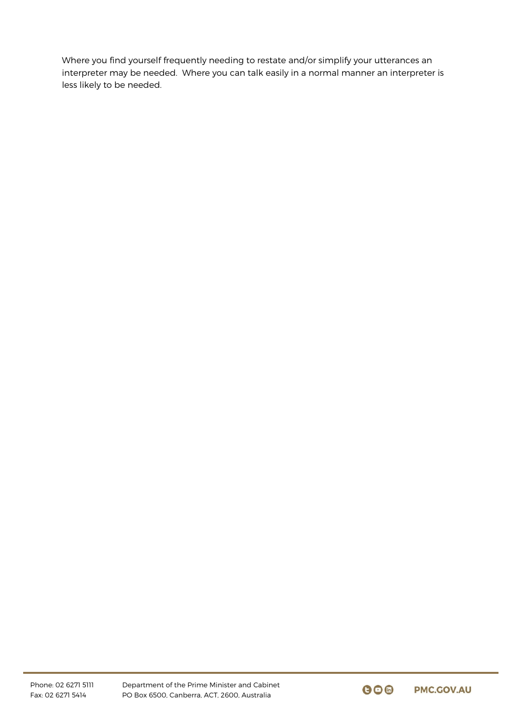Where you find yourself frequently needing to restate and/or simplify your utterances an interpreter may be needed. Where you can talk easily in a normal manner an interpreter is less likely to be needed.

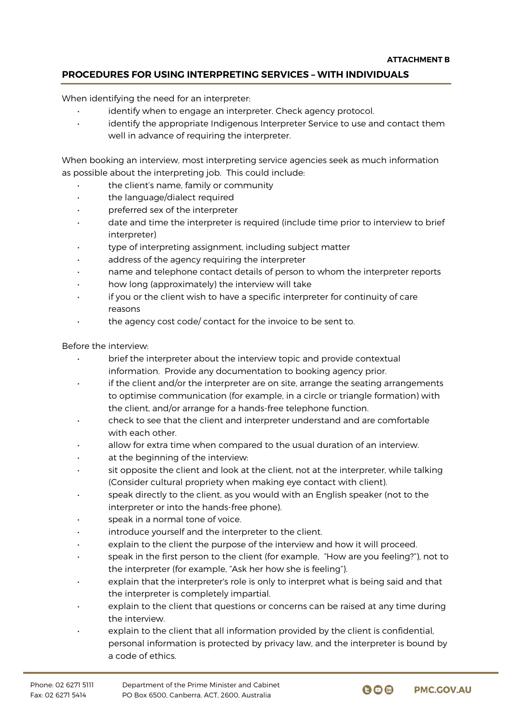## **PROCEDURES FOR USING INTERPRETING SERVICES – WITH INDIVIDUALS**

When identifying the need for an interpreter:

- identify when to engage an interpreter. Check agency protocol.
- identify the appropriate Indigenous Interpreter Service to use and contact them well in advance of requiring the interpreter.

When booking an interview, most interpreting service agencies seek as much information as possible about the interpreting job. This could include:

- the client's name, family or community
- the language/dialect required
- preferred sex of the interpreter
- date and time the interpreter is required (include time prior to interview to brief interpreter)
- type of interpreting assignment, including subject matter
- address of the agency requiring the interpreter
- name and telephone contact details of person to whom the interpreter reports
- how long (approximately) the interview will take
- if you or the client wish to have a specific interpreter for continuity of care reasons
- the agency cost code/ contact for the invoice to be sent to.

Before the interview:

- brief the interpreter about the interview topic and provide contextual information. Provide any documentation to booking agency prior.
- if the client and/or the interpreter are on site, arrange the seating arrangements to optimise communication (for example, in a circle or triangle formation) with the client, and/or arrange for a hands-free telephone function.
- check to see that the client and interpreter understand and are comfortable with each other.
- allow for extra time when compared to the usual duration of an interview.
- at the beginning of the interview:
- sit opposite the client and look at the client, not at the interpreter, while talking (Consider cultural propriety when making eye contact with client).
- speak directly to the client, as you would with an English speaker (not to the interpreter or into the hands-free phone).
- speak in a normal tone of voice.
- introduce yourself and the interpreter to the client.
- explain to the client the purpose of the interview and how it will proceed.
- speak in the first person to the client (for example, "How are you feeling?"), not to the interpreter (for example, "Ask her how she is feeling").
- explain that the interpreter's role is only to interpret what is being said and that the interpreter is completely impartial.
- explain to the client that questions or concerns can be raised at any time during the interview.
- explain to the client that all information provided by the client is confidential, personal information is protected by privacy law, and the interpreter is bound by a code of ethics.

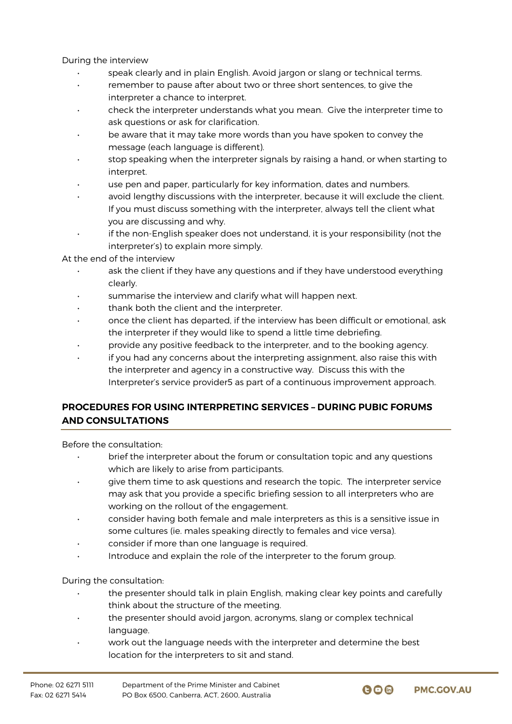During the interview

- speak clearly and in plain English. Avoid jargon or slang or technical terms.
- remember to pause after about two or three short sentences, to give the interpreter a chance to interpret.
- check the interpreter understands what you mean. Give the interpreter time to ask questions or ask for clarification.
- be aware that it may take more words than you have spoken to convey the message (each language is different).
- stop speaking when the interpreter signals by raising a hand, or when starting to interpret.
- use pen and paper, particularly for key information, dates and numbers.
- avoid lengthy discussions with the interpreter, because it will exclude the client. If you must discuss something with the interpreter, always tell the client what you are discussing and why.
- if the non-English speaker does not understand, it is your responsibility (not the interpreter's) to explain more simply.

At the end of the interview

- ask the client if they have any questions and if they have understood everything clearly.
- summarise the interview and clarify what will happen next.
- thank both the client and the interpreter.
- once the client has departed, if the interview has been difficult or emotional, ask the interpreter if they would like to spend a little time debriefing.
- provide any positive feedback to the interpreter, and to the booking agency.
- if you had any concerns about the interpreting assignment, also raise this with the interpreter and agency in a constructive way. Discuss this with the Interpreter's service provider5 as part of a continuous improvement approach.

## **PROCEDURES FOR USING INTERPRETING SERVICES – DURING PUBIC FORUMS AND CONSULTATIONS**

Before the consultation:

- brief the interpreter about the forum or consultation topic and any questions which are likely to arise from participants.
- give them time to ask questions and research the topic. The interpreter service may ask that you provide a specific briefing session to all interpreters who are working on the rollout of the engagement.
- consider having both female and male interpreters as this is a sensitive issue in some cultures (ie. males speaking directly to females and vice versa).
- consider if more than one language is required.
- Introduce and explain the role of the interpreter to the forum group.

During the consultation:

- the presenter should talk in plain English, making clear key points and carefully think about the structure of the meeting.
- the presenter should avoid jargon, acronyms, slang or complex technical language.
- work out the language needs with the interpreter and determine the best location for the interpreters to sit and stand.

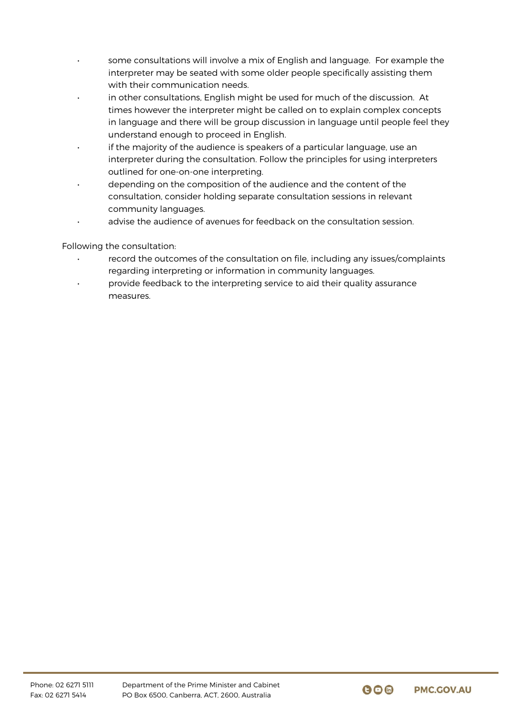- some consultations will involve a mix of English and language. For example the interpreter may be seated with some older people specifically assisting them with their communication needs.
- in other consultations, English might be used for much of the discussion. At times however the interpreter might be called on to explain complex concepts in language and there will be group discussion in language until people feel they understand enough to proceed in English.
- if the majority of the audience is speakers of a particular language, use an interpreter during the consultation. Follow the principles for using interpreters outlined for one-on-one interpreting.
- depending on the composition of the audience and the content of the consultation, consider holding separate consultation sessions in relevant community languages.
- advise the audience of avenues for feedback on the consultation session.

Following the consultation:

- record the outcomes of the consultation on file, including any issues/complaints regarding interpreting or information in community languages.
- provide feedback to the interpreting service to aid their quality assurance measures.